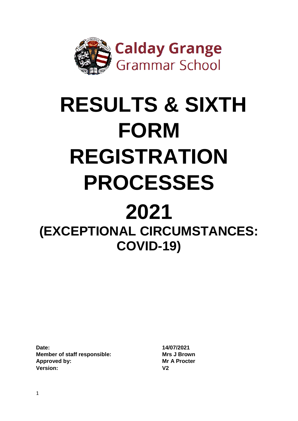

# **RESULTS & SIXTH FORM REGISTRATION PROCESSES 2021 (EXCEPTIONAL CIRCUMSTANCES:**

**COVID-19)**

**Date: 14/07/2021 Member of staff responsible: Mrs J Brown Approved by: Mr A Procter Version: V2**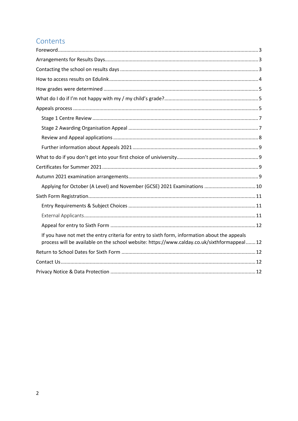# Contents

| Applying for October (A Level) and November (GCSE) 2021 Examinations  10                                                                                                                     |
|----------------------------------------------------------------------------------------------------------------------------------------------------------------------------------------------|
|                                                                                                                                                                                              |
|                                                                                                                                                                                              |
|                                                                                                                                                                                              |
|                                                                                                                                                                                              |
| If you have not met the entry criteria for entry to sixth form, information about the appeals<br>process will be available on the school website: https://www.calday.co.uk/sixthformappeal12 |
|                                                                                                                                                                                              |
|                                                                                                                                                                                              |
|                                                                                                                                                                                              |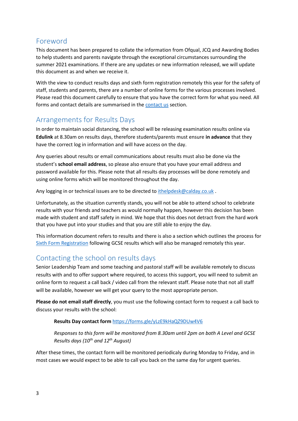# <span id="page-2-0"></span>Foreword

This document has been prepared to collate the information from Ofqual, JCQ and Awarding Bodies to help students and parents navigate through the exceptional circumstances surrounding the summer 2021 examinations. If there are any updates or new information released, we will update this document as and when we receive it.

With the view to conduct results days and sixth form registration remotely this year for the safety of staff, students and parents, there are a number of online forms for the various processes involved. Please read this document carefully to ensure that you have the correct form for what you need. All forms and contact details are summarised in th[e contact us](#page-11-3) section.

# <span id="page-2-1"></span>Arrangements for Results Days

In order to maintain social distancing, the school will be releasing examination results online via **Edulink** at 8.30am on results days, therefore students/parents must ensure **in advance** that they have the correct log in information and will have access on the day.

Any queries about results or email communications about results must also be done via the student's **school email address**, so please also ensure that you have your email address and password available for this. Please note that all results day processes will be done remotely and using online forms which will be monitored throughout the day.

Any logging in or technical issues are to be directed t[o ithelpdesk@calday.co.uk](mailto:ithelpdesk@calday.co.uk).

Unfortunately, as the situation currently stands, you will not be able to attend school to celebrate results with your friends and teachers as would normally happen, however this decision has been made with student and staff safety in mind. We hope that this does not detract from the hard work that you have put into your studies and that you are still able to enjoy the day.

This information document refers to results and there is also a section which outlines the process for [Sixth Form Registration](#page-10-0) following GCSE results which will also be managed remotely this year.

# <span id="page-2-2"></span>Contacting the school on results days

Senior Leadership Team and some teaching and pastoral staff will be available remotely to discuss results with and to offer support where required, to access this support, you will need to submit an online form to request a call back / video call from the relevant staff. Please note that not all staff will be available, however we will get your query to the most appropriate person.

**Please do not email staff directly**, you must use the following contact form to request a call back to discuss your results with the school:

## **Results Day contact form** <https://forms.gle/yLzE9kHaQZ9DUw4V6>

*Responses to this form will be monitored from 8.30am until 2pm on both A Level and GCSE Results days (10th and 12th August)* 

After these times, the contact form will be monitored periodicaly during Monday to Friday, and in most cases we would expect to be able to call you back on the same day for urgent queries.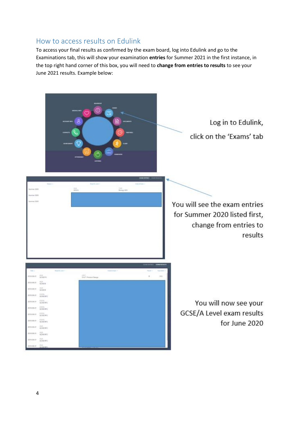## <span id="page-3-0"></span>How to access results on Edulink

To access your final results as confirmed by the exam board, log into Edulink and go to the Examinations tab, this will show your examination **entries** for Summer 2021 in the first instance, in the top right hand corner of this box, you will need to **change from entries to results** to see your June 2021 results. Example below:

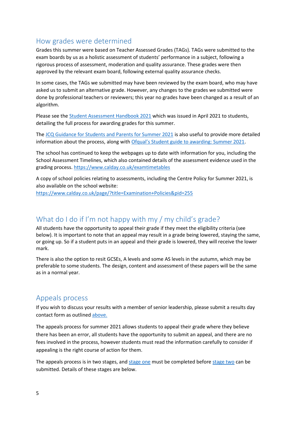# <span id="page-4-0"></span>How grades were determined

Grades this summer were based on Teacher Assessed Grades (TAGs). TAGs were submitted to the exam boards by us as a holistic assessment of students' performance in a subject, following a rigorous process of assessment, moderation and quality assurance. These grades were then approved by the relevant exam board, following external quality assurance checks.

In some cases, the TAGs we submitted may have been reviewed by the exam board, who may have asked us to submit an alternative grade. However, any changes to the grades we submitted were done by professional teachers or reviewers; this year no grades have been changed as a result of an algorithm.

Please see the [Student Assessment Handbook 2021](https://www.calday.co.uk/_site/data/files/users/20/5099AC28413CF8C1D46372332C5D494D.pdf) which was issued in April 2021 to students, detailing the full process for awarding grades for this summer.

The [JCQ Guidance for Students and Parents for Summer 2021](https://www.jcq.org.uk/wp-content/uploads/2021/03/JCQ-Guidance-for-Students-and-Parents-on-Summer-2021.pdf) is also useful to provide more detailed information about the process, along with [Ofqual's Student guide to awarding: Summer 2021](https://www.gov.uk/government/publications/student-guide-to-awarding-summer-2021).

The school has continued to keep the webpages up to date with information for you, including the School Assessment Timelines, which also contained details of the assessment evidence used in the grading process[. https://www.calday.co.uk/examtimetables](https://www.calday.co.uk/examtimetables)

A copy of school policies relating to assessments, including the Centre Policy for Summer 2021, is also available on the school website: <https://www.calday.co.uk/page/?title=Examination+Policies&pid=255>

# <span id="page-4-1"></span>What do I do if I'm not happy with my / my child's grade?

All students have the opportunity to appeal their grade if they meet the eligibility criteria (see below). It is important to note that an appeal may result in a grade being lowered, staying the same, or going up. So if a student puts in an appeal and their grade is lowered, they will receive the lower mark.

There is also the option to resit GCSEs, A levels and some AS levels in the autumn, which may be preferable to some students. The design, content and assessment of these papers will be the same as in a normal year.

## <span id="page-4-2"></span>Appeals process

If you wish to discuss your results with a member of senior leadership, please submit a results day contact form as outlined [above.](#page-2-2)

The appeals process for summer 2021 allows students to appeal their grade where they believe there has been an error, all students have the opportunity to submit an appeal, and there are no fees involved in the process, however students must read the information carefully to consider if appealing is the right course of action for them.

The appeals process is in two stages, and [stage one](#page-6-0) must be completed befor[e stage two](#page-6-1) can be submitted. Details of these stages are below.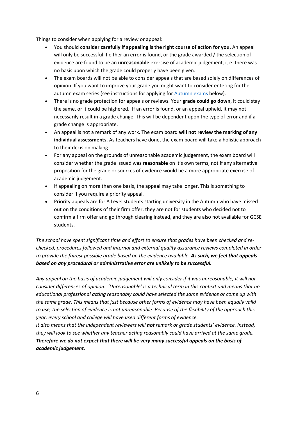Things to consider when applying for a review or appeal:

- You should **consider carefully if appealing is the right course of action for you**. An appeal will only be successful if either an error is found, or the grade awarded / the selection of evidence are found to be an **unreasonable** exercise of academic judgement, i,.e. there was no basis upon which the grade could properly have been given.
- The exam boards will not be able to consider appeals that are based solely on differences of opinion. If you want to improve your grade you might want to consider entering for the autumn exam series (see instructions for applying for [Autumn exams](#page-8-3) below).
- There is no grade protection for appeals or reviews. Your **grade could go down**, it could stay the same, or it could be highered. If an error is found, or an appeal upheld, it may not necessarily result in a grade change. This will be dependent upon the type of error and if a grade change is appropriate.
- An appeal is not a remark of any work. The exam board **will not review the marking of any individual assessments**. As teachers have done, the exam board will take a holistic approach to their decision making.
- For any appeal on the grounds of unreasonable academic judgement, the exam board will consider whether the grade issued was **reasonable** on it's own terms, not if any alternative proposition for the grade or sources of evidence would be a more appropriate exercise of academic judgement.
- If appealing on more than one basis, the appeal may take longer. This is something to consider if you require a priority appeal.
- Priority appeals are for A Level students starting university in the Autumn who have missed out on the conditions of their firm offer, they are not for students who decided not to confirm a firm offer and go through clearing instead, and they are also not available for GCSE students.

*The school have spent significant time and effort to ensure that grades have been checked and rechecked, procedures followed and internal and external quality assurance reviews completed in order to provide the fairest possible grade based on the evidence available. As such, we feel that appeals based on any procedural or administrative error are unlikely to be successful.*

*Any appeal on the basis of academic judgement will only consider if it was unreasonable, it will not consider differences of opinion. 'Unreasonable' is a technical term in this context and means that no educational professional acting reasonably could have selected the same evidence or come up with the same grade. This means that just because other forms of evidence may have been equally valid to use, the selection of evidence is not unreasonable. Because of the flexibility of the approach this year, every school and college will have used different forms of evidence.*

*It also means that the independent reviewers will not remark or grade students' evidence. Instead, they will look to see whether any teacher acting reasonably could have arrived at the same grade. Therefore we do not expect that there will be very many successful appeals on the basis of academic judgement.*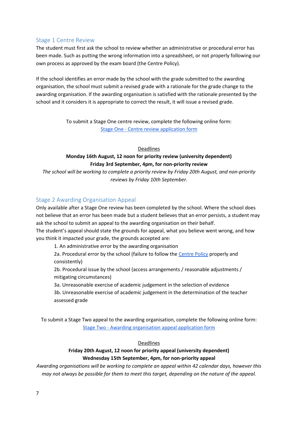#### <span id="page-6-0"></span>Stage 1 Centre Review

The student must first ask the school to review whether an administrative or procedural error has been made. Such as putting the wrong information into a spreadsheet, or not properly following our own process as approved by the exam board (the Centre Policy).

If the school identifies an error made by the school with the grade submitted to the awarding organisation, the school must submit a revised grade with a rationale for the grade change to the awarding organisation. If the awarding organisation is satisfied with the rationale presented by the school and it considers it is appropriate to correct the result, it will issue a revised grade.

> To submit a Stage One centre review, complete the following online form: Stage One - [Centre review application form](https://forms.gle/3CdKFjY5pJeZ3LSC6)

> > Deadlines

## **Monday 16th August, 12 noon for priority review (university dependent) Friday 3rd September, 4pm, for non-priority review**

*The school will be working to complete a priority review by Friday 20th August, and non-priority reviews by Friday 10th September.*

## <span id="page-6-1"></span>Stage 2 Awarding Organisation Appeal

Only available after a Stage One review has been completed by the school. Where the school does not believe that an error has been made but a student believes that an error persists, a student may ask the school to submit an appeal to the awarding organisation on their behalf.

The student's appeal should state the grounds for appeal, what you believe went wrong, and how you think it impacted your grade, the grounds accepted are:

1. An administrative error by the awarding organisation

2a. Procedural error by the school (failure to follow the [Centre Policy](https://www.calday.co.uk/_site/data/files/users/20/0F4FB59D48C114EFABB7584306F6ABC8.pdf) properly and consistently)

2b. Procedural issue by the school (access arrangements / reasonable adjustments / mitigating circumstances)

3a. Unreasonable exercise of academic judgement in the selection of evidence

3b. Unreasonable exercise of academic judgement in the determination of the teacher assessed grade

To submit a Stage Two appeal to the awarding organisation, complete the following online form: Stage Two - [Awarding organisation appeal application form](https://forms.gle/vYdh5X2mHxY9kRhu6)

#### Deadlines

#### **Friday 20th August, 12 noon for priority appeal (university dependent) Wednesday 15th September, 4pm, for non-priority appeal**

*Awarding organisations will be working to complete an appeal within 42 calendar days, however this may not always be possible for them to meet this target, depending on the nature of the appeal.*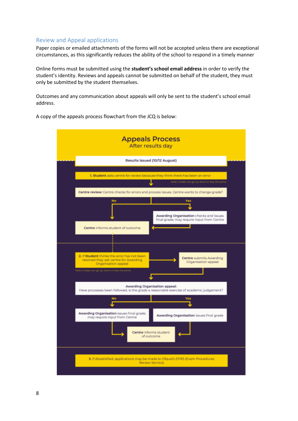### <span id="page-7-0"></span>Review and Appeal applications

Paper copies or emailed attachments of the forms will not be accepted unless there are exceptional circumstances, as this significantly reduces the ability of the school to respond in a timely manner

Online forms must be submitted using the **student's school email address** in order to verify the student's identity. Reviews and appeals cannot be submitted on behalf of the student, they must only be submitted by the student themselves.

Outcomes and any communication about appeals will only be sent to the student's school email address.



A copy of the appeals process flowchart from the JCQ is below: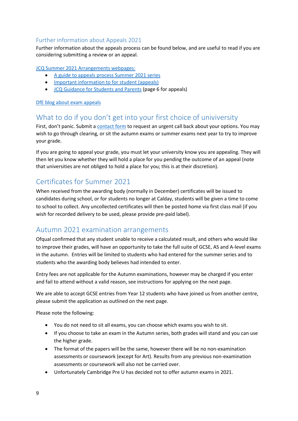## <span id="page-8-0"></span>Further information about Appeals 2021

Further information about the appeals process can be found below, and are useful to read if you are considering submitting a review or an appeal.

[JCQ Summer 2021 Arrangements webpages:](https://www.jcq.org.uk/summer-2021-arrangements/)

- [A guide to appeals process Summer 2021 series](https://www.jcq.org.uk/wp-content/uploads/2021/06/JCQ_Appeals-Guidance_Summer-2021.pdf)
- [Important information to for student \(appeals\)](https://www.jcq.org.uk/wp-content/uploads/2021/06/JCQ_Appeals-Guidance_Summer-2021_Appendix-B.pdf)
- [JCQ Guidance for Students and Parents](https://www.jcq.org.uk/wp-content/uploads/2021/03/JCQ-Guidance-for-Students-and-Parents-on-Summer-2021.pdf) (page 6 for appeals)

#### [DfE blog about exam appeals](https://dfemedia.blog.gov.uk/2021/06/09/exam-appeals-what-can-i-do-if-i-think-my-grade-is-wrong-how-do-i-appeal-what-will-happen-if-i-appeal-your-questions-answered/?fbclid=IwAR1ApqmbehAL8GUaOtKsZ1iD0gxKDrK85WeWJNbzrjLlpKl3mPs9z6TvIzc)

## <span id="page-8-1"></span>What to do if you don't get into your first choice of univiversity

First, don't panic. Submit a [contact form](https://forms.gle/yLzE9kHaQZ9DUw4V6) to request an urgent call back about your options. You may wish to go through clearing, or sit the autumn exams or summer exams next year to try to improve your grade.

If you are going to appeal your grade, you must let your university know you are appealing. They will then let you know whether they will hold a place for you pending the outcome of an appeal (note that universities are not obliged to hold a place for you; this is at their discretion).

## <span id="page-8-2"></span>Certificates for Summer 2021

When received from the awarding body (normally in December) certificates will be issued to candidates during school, or for students no longer at Calday, students will be given a time to come to school to collect. Any uncollected certificates will then be posted home via first class mail (if you wish for recorded delivery to be used, please provide pre-paid label).

## <span id="page-8-3"></span>Autumn 2021 examination arrangements

Ofqual confirmed that any student unable to receive a calculated result, and others who would like to improve their grades, will have an opportunity to take the full suite of GCSE, AS and A-level exams in the autumn. Entries will be limited to students who had entered for the summer series and to students who the awarding body believes had intended to enter.

Entry fees are not applicable for the Autumn examinations, however may be charged if you enter and fail to attend without a valid reason, see instructions for applying on the next page.

We are able to accept GCSE entries from Year 12 students who have joined us from another centre, please submit the application as outlined on the next page.

Please note the following:

- You do not need to sit all exams, you can choose which exams you wish to sit.
- If you choose to take an exam in the Autumn series, both grades will stand and you can use the higher grade.
- The format of the papers will be the same, however there will be no non-examination assessments or coursework (except for Art). Results from any previous non-examination assessments or coursework will also not be carried over.
- Unfortunately Cambridge Pre U has decided not to offer autumn exams in 2021.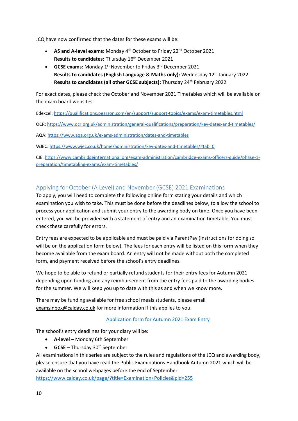JCQ have now confirmed that the dates for these exams will be:

- AS and A-level exams: Monday 4<sup>th</sup> October to Friday 22<sup>nd</sup> October 2021 **Results to candidates:** Thursday 16th December 2021
- **GCSE exams:** Monday 1<sup>st</sup> November to Friday 3<sup>rd</sup> December 2021 **Results to candidates (English Language & Maths only):** Wednesday 12<sup>th</sup> January 2022 **Results to candidates (all other GCSE subjects):** Thursday 24<sup>th</sup> February 2022

For exact dates, please check the October and November 2021 Timetables which will be available on the exam board websites:

Edexcel:<https://qualifications.pearson.com/en/support/support-topics/exams/exam-timetables.html>

OCR:<https://www.ocr.org.uk/administration/general-qualifications/preparation/key-dates-and-timetables/>

AQA:<https://www.aqa.org.uk/exams-administration/dates-and-timetables>

WJEC: [https://www.wjec.co.uk/home/administration/key-dates-and-timetables/#tab\\_0](https://www.wjec.co.uk/home/administration/key-dates-and-timetables/#tab_0)

CIE[: https://www.cambridgeinternational.org/exam-administration/cambridge-exams-officers-guide/phase-1](https://www.cambridgeinternational.org/exam-administration/cambridge-exams-officers-guide/phase-1-preparation/timetabling-exams/exam-timetables/) [preparation/timetabling-exams/exam-timetables/](https://www.cambridgeinternational.org/exam-administration/cambridge-exams-officers-guide/phase-1-preparation/timetabling-exams/exam-timetables/)

## <span id="page-9-0"></span>Applying for October (A Level) and November (GCSE) 2021 Examinations

To apply, you will need to complete the following online form stating your details and which examination you wish to take. This must be done before the deadlines below, to allow the school to process your application and submit your entry to the awarding body on time. Once you have been entered, you will be provided with a statement of entry and an examination timetable. You must check these carefully for errors.

Entry fees are expected to be applicable and must be paid via ParentPay (instructions for doing so will be on the application form below). The fees for each entry will be listed on this form when they become available from the exam board. An entry will not be made without both the completed form, and payment received before the school's entry deadlines.

We hope to be able to refund or partially refund students for their entry fees for Autumn 2021 depending upon funding and any reimbursement from the entry fees paid to the awarding bodies for the summer. We will keep you up to date with this as and when we know more.

There may be funding available for free school meals students, please email [examsinbox@calday.co.uk](mailto:examsinbox@calday.co.uk) for more information if this applies to you.

#### [Application form for Autumn 2021 Exam Entry](https://forms.gle/RvuMCacoKyT6wEWSA)

The school's entry deadlines for your diary will be:

- **A-level** Monday 6th September
- **GCSE** Thursday 30<sup>th</sup> September

All examinations in this series are subject to the rules and regulations of the JCQ and awarding body, please ensure that you have read the Public Examinations Handbook Autumn 2021 which will be available on the school webpages before the end of September <https://www.calday.co.uk/page/?title=Examination+Policies&pid=255>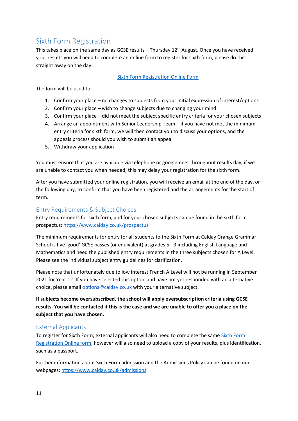# <span id="page-10-0"></span>Sixth Form Registration

This takes place on the same day as GCSE results  $-$  Thursday 12<sup>th</sup> August. Once you have received your results you will need to complete an online form to register for sixth form, please do this straight away on the day.

#### [Sixth Form Registration Online Form](https://forms.gle/AXx4b9aSsM54nizB9)

The form will be used to:

- 1. Confirm your place no changes to subjects from your initial expression of interest/options
- 2. Confirm your place wish to change subjects due to changing your mind
- 3. Confirm your place did not meet the subject specific entry criteria for your chosen subjects
- 4. Arrange an appointment with Senior Leadership Team if you have not met the minimum entry criteria for sixth form, we will then contact you to discuss your options, and the appeals process should you wish to submit an appeal
- 5. Withdraw your application

You must ensure that you are available via telephone or googlemeet throughout results day, if we are unable to contact you when needed, this may delay your registration for the sixth form.

After you have submitted your online registration, you will receive an email at the end of the day, or the following day, to confirm that you have been registered and the arrangements for the start of term.

#### <span id="page-10-1"></span>Entry Requirements & Subject Choices

Entry requirements for sixth form, and for your chosen subjects can be found in the sixth form prospectus:<https://www.calday.co.uk/prospectus>

The minimum requirements for entry for all students to the Sixth Form at Calday Grange Grammar School is five 'good' GCSE passes (or equivalent) at grades 5 - 9 including English Language and Mathematics and need the published entry requirements in the three subjects chosen for A Level. Please see the individual subject entry guidelines for clarification.

Please note that unfortunately due to low interest French A Level will not be running in September 2021 for Year 12. If you have selected this option and have not yet responded with an alternative choice, please email options@calday.co.uk with your alternative subject.

**If subjects become oversubscribed, the school will apply oversubscription criteria using GCSE results. You will be contacted if this is the case and we are unable to offer you a place on the subject that you have chosen.**

#### <span id="page-10-2"></span>External Applicants

To register for Sixth Form, external applicants will also need to complete the same [Sixth Form](https://forms.gle/9TBD2yf4fCzStgoR7)  [Registration Online form,](https://forms.gle/9TBD2yf4fCzStgoR7) however will also need to upload a copy of your results, plus identification, such as a passport.

Further information about Sixth Form admission and the Admissions Policy can be found on our webpages[: https://www.calday.co.uk/admissions](https://www.calday.co.uk/admissions)